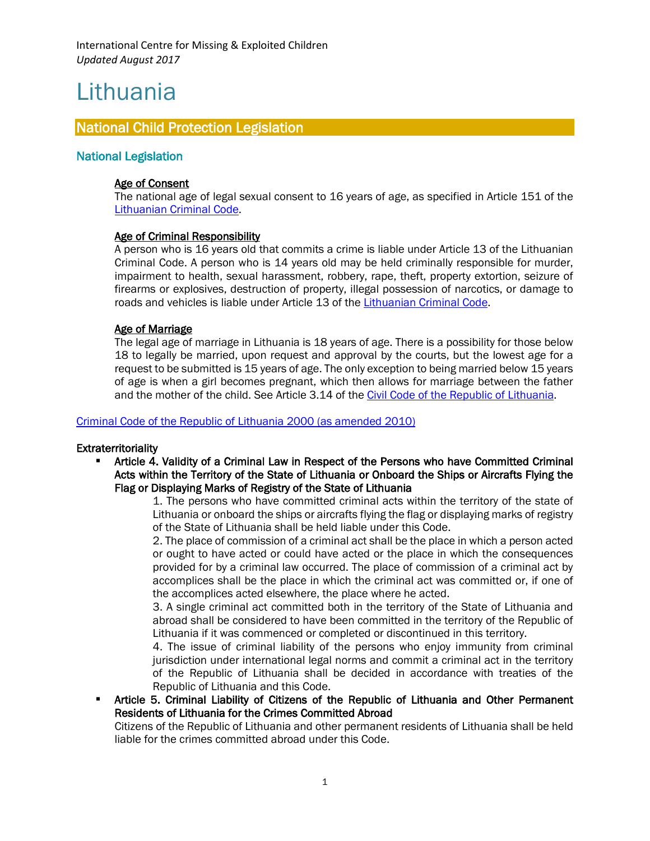# Lithuania

l.

# National Child Protection Legislation

## National Legislation

### Age of Consent

The national age of legal sexual consent to 16 years of age, as specified in Article 151 of the [Lithuanian Criminal Code.](https://www.unodc.org/res/cld/document/ltu/criminal_code_of_lithuania_html/Lithuania_Criminal_Code_2000_as_amd_2010.pdf)

## Age of Criminal Responsibility

A person who is 16 years old that commits a crime is liable under Article 13 of the Lithuanian Criminal Code. A person who is 14 years old may be held criminally responsible for murder, impairment to health, sexual harassment, robbery, rape, theft, property extortion, seizure of firearms or explosives, destruction of property, illegal possession of narcotics, or damage to roads and vehicles is liable under Article 13 of the [Lithuanian Criminal Code.](https://www.unodc.org/res/cld/document/ltu/criminal_code_of_lithuania_html/Lithuania_Criminal_Code_2000_as_amd_2010.pdf)

## Age of Marriage

The legal age of marriage in Lithuania is 18 years of age. There is a possibility for those below 18 to legally be married, upon request and approval by the courts, but the lowest age for a request to be submitted is 15 years of age. The only exception to being married below 15 years of age is when a girl becomes pregnant, which then allows for marriage between the father and the mother of the child. See Article 3.14 of the [Civil Code of the Republic of Lithuania.](https://e-seimas.lrs.lt/portal/legalAct/lt/TAD/TAIS.245495)

#### Criminal Code [of the Republic of Lithuania 2000 \(as amended 2010\)](https://www.unodc.org/res/cld/document/ltu/criminal_code_of_lithuania_html/Lithuania_Criminal_Code_2000_as_amd_2010.pdf)

#### **Extraterritoriality**

 Article 4. Validity of a Criminal Law in Respect of the Persons who have Committed Criminal Acts within the Territory of the State of Lithuania or Onboard the Ships or Aircrafts Flying the Flag or Displaying Marks of Registry of the State of Lithuania

> 1. The persons who have committed criminal acts within the territory of the state of Lithuania or onboard the ships or aircrafts flying the flag or displaying marks of registry of the State of Lithuania shall be held liable under this Code.

> 2. The place of commission of a criminal act shall be the place in which a person acted or ought to have acted or could have acted or the place in which the consequences provided for by a criminal law occurred. The place of commission of a criminal act by accomplices shall be the place in which the criminal act was committed or, if one of the accomplices acted elsewhere, the place where he acted.

> 3. A single criminal act committed both in the territory of the State of Lithuania and abroad shall be considered to have been committed in the territory of the Republic of Lithuania if it was commenced or completed or discontinued in this territory.

> 4. The issue of criminal liability of the persons who enjoy immunity from criminal jurisdiction under international legal norms and commit a criminal act in the territory of the Republic of Lithuania shall be decided in accordance with treaties of the Republic of Lithuania and this Code.

 Article 5. Criminal Liability of Citizens of the Republic of Lithuania and Other Permanent Residents of Lithuania for the Crimes Committed Abroad

Citizens of the Republic of Lithuania and other permanent residents of Lithuania shall be held liable for the crimes committed abroad under this Code.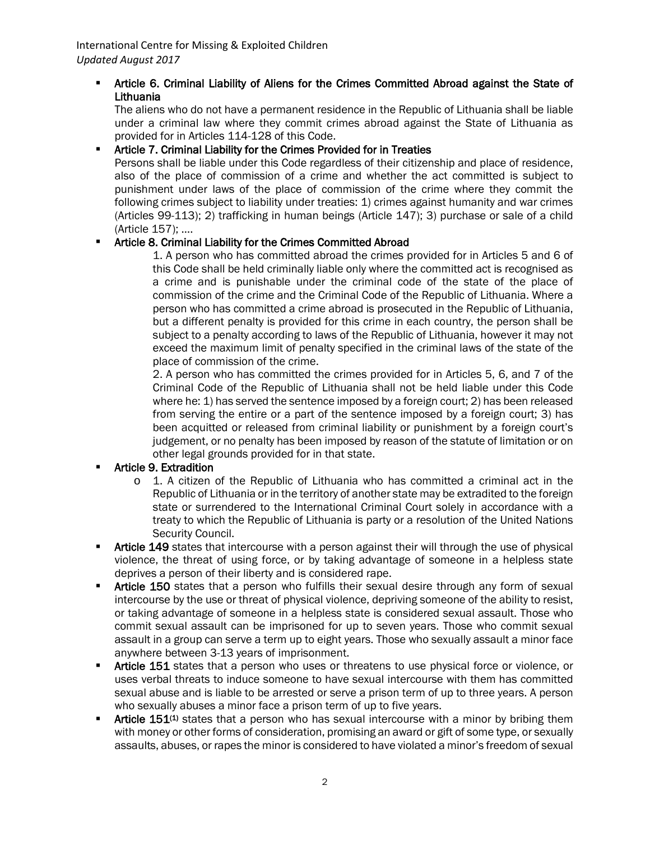## Article 6. Criminal Liability of Aliens for the Crimes Committed Abroad against the State of Lithuania

The aliens who do not have a permanent residence in the Republic of Lithuania shall be liable under a criminal law where they commit crimes abroad against the State of Lithuania as provided for in Articles 114-128 of this Code.

## Article 7. Criminal Liability for the Crimes Provided for in Treaties

Persons shall be liable under this Code regardless of their citizenship and place of residence, also of the place of commission of a crime and whether the act committed is subject to punishment under laws of the place of commission of the crime where they commit the following crimes subject to liability under treaties: 1) crimes against humanity and war crimes (Articles 99-113); 2) trafficking in human beings (Article 147); 3) purchase or sale of a child (Article 157); ….

# **EXECT:** Article 8. Criminal Liability for the Crimes Committed Abroad

1. A person who has committed abroad the crimes provided for in Articles 5 and 6 of this Code shall be held criminally liable only where the committed act is recognised as a crime and is punishable under the criminal code of the state of the place of commission of the crime and the Criminal Code of the Republic of Lithuania. Where a person who has committed a crime abroad is prosecuted in the Republic of Lithuania, but a different penalty is provided for this crime in each country, the person shall be subject to a penalty according to laws of the Republic of Lithuania, however it may not exceed the maximum limit of penalty specified in the criminal laws of the state of the place of commission of the crime.

2. A person who has committed the crimes provided for in Articles 5, 6, and 7 of the Criminal Code of the Republic of Lithuania shall not be held liable under this Code where he: 1) has served the sentence imposed by a foreign court; 2) has been released from serving the entire or a part of the sentence imposed by a foreign court; 3) has been acquitted or released from criminal liability or punishment by a foreign court's judgement, or no penalty has been imposed by reason of the statute of limitation or on other legal grounds provided for in that state.

## Article 9. Extradition

- $\circ$  1. A citizen of the Republic of Lithuania who has committed a criminal act in the Republic of Lithuania or in the territory of another state may be extradited to the foreign state or surrendered to the International Criminal Court solely in accordance with a treaty to which the Republic of Lithuania is party or a resolution of the United Nations Security Council.
- Article 149 states that intercourse with a person against their will through the use of physical violence, the threat of using force, or by taking advantage of someone in a helpless state deprives a person of their liberty and is considered rape.
- Article 150 states that a person who fulfills their sexual desire through any form of sexual intercourse by the use or threat of physical violence, depriving someone of the ability to resist, or taking advantage of someone in a helpless state is considered sexual assault. Those who commit sexual assault can be imprisoned for up to seven years. Those who commit sexual assault in a group can serve a term up to eight years. Those who sexually assault a minor face anywhere between 3-13 years of imprisonment.
- Article 151 states that a person who uses or threatens to use physical force or violence, or uses verbal threats to induce someone to have sexual intercourse with them has committed sexual abuse and is liable to be arrested or serve a prison term of up to three years. A person who sexually abuses a minor face a prison term of up to five years.
- Article 151<sup>(1)</sup> states that a person who has sexual intercourse with a minor by bribing them with money or other forms of consideration, promising an award or gift of some type, or sexually assaults, abuses, or rapes the minor is considered to have violated a minor's freedom of sexual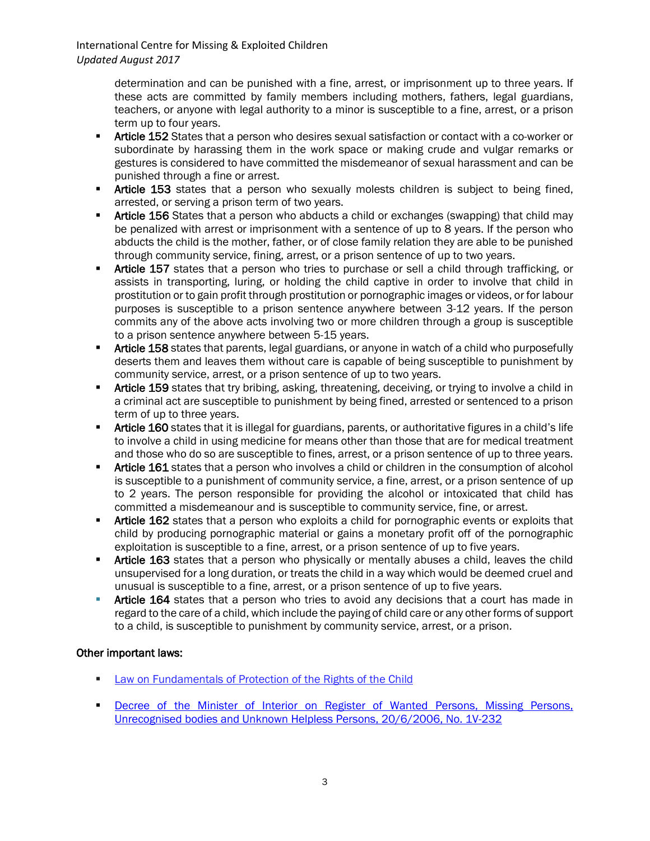International Centre for Missing & Exploited Children *Updated August 2017*

> determination and can be punished with a fine, arrest, or imprisonment up to three years. If these acts are committed by family members including mothers, fathers, legal guardians, teachers, or anyone with legal authority to a minor is susceptible to a fine, arrest, or a prison term up to four years.

- Article 152 States that a person who desires sexual satisfaction or contact with a co-worker or subordinate by harassing them in the work space or making crude and vulgar remarks or gestures is considered to have committed the misdemeanor of sexual harassment and can be punished through a fine or arrest.
- Article 153 states that a person who sexually molests children is subject to being fined, arrested, or serving a prison term of two years.
- **F** Article 156 States that a person who abducts a child or exchanges (swapping) that child may be penalized with arrest or imprisonment with a sentence of up to 8 years. If the person who abducts the child is the mother, father, or of close family relation they are able to be punished through community service, fining, arrest, or a prison sentence of up to two years.
- Article 157 states that a person who tries to purchase or sell a child through trafficking, or assists in transporting, luring, or holding the child captive in order to involve that child in prostitution or to gain profit through prostitution or pornographic images or videos, or for labour purposes is susceptible to a prison sentence anywhere between 3-12 years. If the person commits any of the above acts involving two or more children through a group is susceptible to a prison sentence anywhere between 5-15 years.
- **F** Article 158 states that parents, legal guardians, or anyone in watch of a child who purposefully deserts them and leaves them without care is capable of being susceptible to punishment by community service, arrest, or a prison sentence of up to two years.
- **Kriticle 159** states that try bribing, asking, threatening, deceiving, or trying to involve a child in a criminal act are susceptible to punishment by being fined, arrested or sentenced to a prison term of up to three years.
- **Krticle 160** states that it is illegal for guardians, parents, or authoritative figures in a child's life to involve a child in using medicine for means other than those that are for medical treatment and those who do so are susceptible to fines, arrest, or a prison sentence of up to three years.
- **Article 161** states that a person who involves a child or children in the consumption of alcohol is susceptible to a punishment of community service, a fine, arrest, or a prison sentence of up to 2 years. The person responsible for providing the alcohol or intoxicated that child has committed a misdemeanour and is susceptible to community service, fine, or arrest.
- **Article 162** states that a person who exploits a child for pornographic events or exploits that child by producing pornographic material or gains a monetary profit off of the pornographic exploitation is susceptible to a fine, arrest, or a prison sentence of up to five years.
- **Article 163** states that a person who physically or mentally abuses a child, leaves the child unsupervised for a long duration, or treats the child in a way which would be deemed cruel and unusual is susceptible to a fine, arrest, or a prison sentence of up to five years.
- Article 164 states that a person who tries to avoid any decisions that a court has made in regard to the care of a child, which include the paying of child care or any other forms of support to a child, is susceptible to punishment by community service, arrest, or a prison.

## Other important laws:

- **EXECT** Law on Fundamentals [of Protection of the Rights of the Child](http://www.litlex.lt/Litlex/Eng/Frames/Laws/Documents/359.HTM)
- **Decree of the Minister of Interior on Register of Wanted Persons, Missing Persons,** Unrecognised bodies and Unknown Helpless Persons, 20/6/2006, No. 1V-232